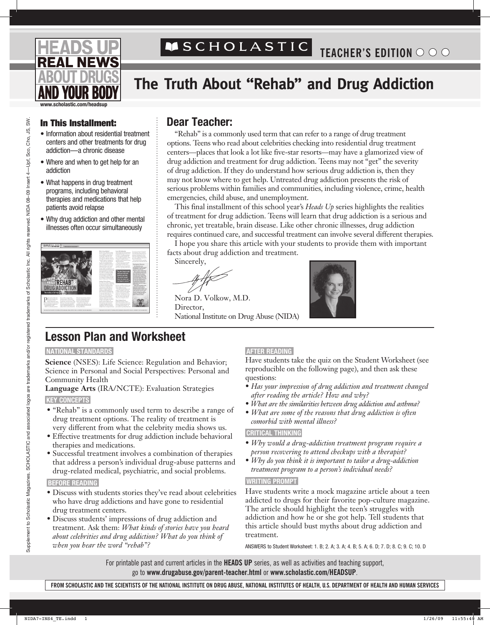# **NEWS**

## ASCHOLASTIC

## **The Truth About "Rehab" and Drug Addiction**

**www.scholastic.com/headsup**

- • Information about residential treatment centers and other treatments for drug addiction—a chronic disease
- Where and when to get help for an addiction
- What happens in drug treatment programs, including behavioral therapies and medications that help patients avoid relapse
- Why drug addiction and other mental illnesses often occur simultaneously



## In This Installment: **Dear Teacher:**

"Rehab" is a commonly used term that can refer to a range of drug treatment options. Teens who read about celebrities checking into residential drug treatment centers—places that look a lot like five-star resorts—may have a glamorized view of drug addiction and treatment for drug addiction. Teens may not "get" the severity of drug addiction. If they do understand how serious drug addiction is, then they may not know where to get help. Untreated drug addiction presents the risk of serious problems within families and communities, including violence, crime, health emergencies, child abuse, and unemployment.

This final installment of this school year's *Heads Up* series highlights the realities of treatment for drug addiction. Teens will learn that drug addiction is a serious and chronic, yet treatable, brain disease. Like other chronic illnesses, drug addiction requires continued care, and successful treatment can involve several different therapies.

I hope you share this article with your students to provide them with important facts about drug addiction and treatment.

Sincerely,

Nora D. Volkow, M.D. Director, National Institute on Drug Abuse (NIDA)



## **Lesson Plan and Worksheet**

#### **NATIONAL STANDARDS**

**Science** (NSES): Life Science: Regulation and Behavior; Science in Personal and Social Perspectives: Personal and Community Health

**Language Arts** (IRA/NCTE): Evaluation Strategies

#### **KEY CONCEPTS**

- "Rehab" is a commonly used term to describe a range of drug treatment options. The reality of treatment is very different from what the celebrity media shows us.
- Effective treatments for drug addiction include behavioral therapies and medications.
- Successful treatment involves a combination of therapies that address a person's individual drug-abuse patterns and drug-related medical, psychiatric, and social problems.

#### **BEFORE READING**

- Discuss with students stories they've read about celebrities who have drug addictions and have gone to residential drug treatment centers.
- Discuss students' impressions of drug addiction and treatment. Ask them: *What kinds of stories have you heard about celebrities and drug addiction? What do you think of when you hear the word "rehab"?*

#### **AFTER READING**

Have students take the quiz on the Student Worksheet (see reproducible on the following page), and then ask these questions:

- *Has your impression of drug addiction and treatment changed after reading the article? How and why?*
- *What are the similarities between drug addiction and asthma?*
- *What are some of the reasons that drug addiction is often comorbid with mental illness?*

#### **CRITICAL THINKING**

- *Why would a drug-addiction treatment program require a person recovering to attend checkups with a therapist?*
- *Why do you think it is important to tailor a drug-addiction treatment program to a person's individual needs?*

#### **WRITING PROMPT**

Have students write a mock magazine article about a teen addicted to drugs for their favorite pop-culture magazine. The article should highlight the teen's struggles with addiction and how he or she got help. Tell students that this article should bust myths about drug addiction and treatment.

ANSWERS to Student Worksheet: 1. B; 2. A; 3. A; 4. B; 5. A; 6. D; 7. D; 8. C; 9. C; 10. D

For printable past and current articles in the **HEADS UP** series, as well as activities and teaching support, go to **www.drugabuse.gov/parent-teacher.html** or **www.scholastic.com/headsup**.

SW.